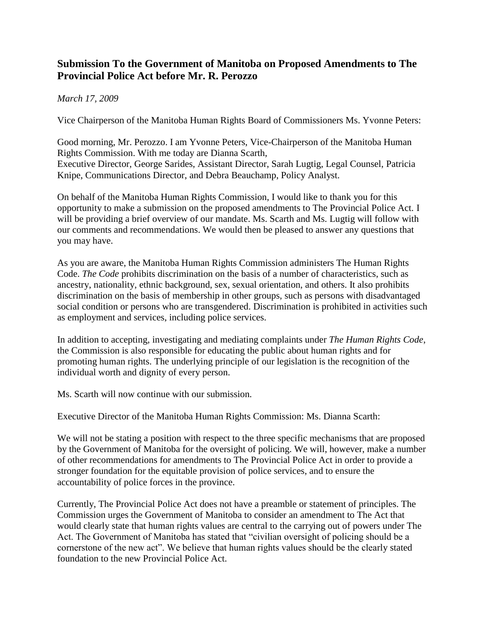## **Submission To the Government of Manitoba on Proposed Amendments to The Provincial Police Act before Mr. R. Perozzo**

## *March 17, 2009*

Vice Chairperson of the Manitoba Human Rights Board of Commissioners Ms. Yvonne Peters:

Good morning, Mr. Perozzo. I am Yvonne Peters, Vice-Chairperson of the Manitoba Human Rights Commission. With me today are Dianna Scarth, Executive Director, George Sarides, Assistant Director, Sarah Lugtig, Legal Counsel, Patricia Knipe, Communications Director, and Debra Beauchamp, Policy Analyst.

On behalf of the Manitoba Human Rights Commission, I would like to thank you for this opportunity to make a submission on the proposed amendments to The Provincial Police Act. I will be providing a brief overview of our mandate. Ms. Scarth and Ms. Lugtig will follow with our comments and recommendations. We would then be pleased to answer any questions that you may have.

As you are aware, the Manitoba Human Rights Commission administers The Human Rights Code. *The Code* prohibits discrimination on the basis of a number of characteristics, such as ancestry, nationality, ethnic background, sex, sexual orientation, and others. It also prohibits discrimination on the basis of membership in other groups, such as persons with disadvantaged social condition or persons who are transgendered. Discrimination is prohibited in activities such as employment and services, including police services.

In addition to accepting, investigating and mediating complaints under *The Human Rights Code*, the Commission is also responsible for educating the public about human rights and for promoting human rights. The underlying principle of our legislation is the recognition of the individual worth and dignity of every person.

Ms. Scarth will now continue with our submission.

Executive Director of the Manitoba Human Rights Commission: Ms. Dianna Scarth:

We will not be stating a position with respect to the three specific mechanisms that are proposed by the Government of Manitoba for the oversight of policing. We will, however, make a number of other recommendations for amendments to The Provincial Police Act in order to provide a stronger foundation for the equitable provision of police services, and to ensure the accountability of police forces in the province.

Currently, The Provincial Police Act does not have a preamble or statement of principles. The Commission urges the Government of Manitoba to consider an amendment to The Act that would clearly state that human rights values are central to the carrying out of powers under The Act. The Government of Manitoba has stated that "civilian oversight of policing should be a cornerstone of the new act". We believe that human rights values should be the clearly stated foundation to the new Provincial Police Act.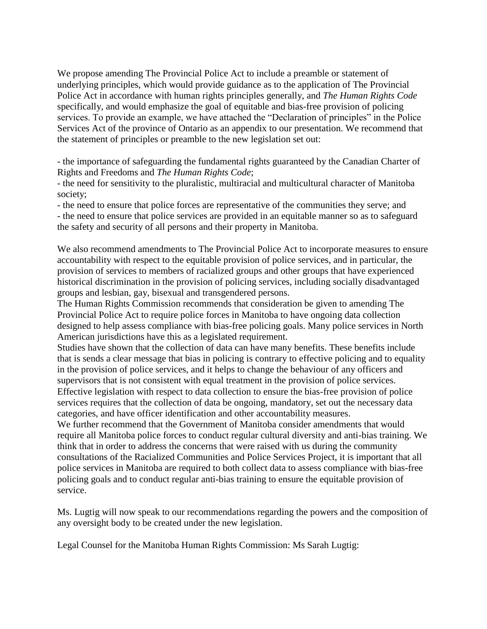We propose amending The Provincial Police Act to include a preamble or statement of underlying principles, which would provide guidance as to the application of The Provincial Police Act in accordance with human rights principles generally, and *The Human Rights Code* specifically, and would emphasize the goal of equitable and bias-free provision of policing services. To provide an example, we have attached the "Declaration of principles" in the Police Services Act of the province of Ontario as an appendix to our presentation. We recommend that the statement of principles or preamble to the new legislation set out:

- the importance of safeguarding the fundamental rights guaranteed by the Canadian Charter of Rights and Freedoms and *The Human Rights Code*;

- the need for sensitivity to the pluralistic, multiracial and multicultural character of Manitoba society;

- the need to ensure that police forces are representative of the communities they serve; and - the need to ensure that police services are provided in an equitable manner so as to safeguard the safety and security of all persons and their property in Manitoba.

We also recommend amendments to The Provincial Police Act to incorporate measures to ensure accountability with respect to the equitable provision of police services, and in particular, the provision of services to members of racialized groups and other groups that have experienced historical discrimination in the provision of policing services, including socially disadvantaged groups and lesbian, gay, bisexual and transgendered persons.

The Human Rights Commission recommends that consideration be given to amending The Provincial Police Act to require police forces in Manitoba to have ongoing data collection designed to help assess compliance with bias-free policing goals. Many police services in North American jurisdictions have this as a legislated requirement.

Studies have shown that the collection of data can have many benefits. These benefits include that is sends a clear message that bias in policing is contrary to effective policing and to equality in the provision of police services, and it helps to change the behaviour of any officers and supervisors that is not consistent with equal treatment in the provision of police services. Effective legislation with respect to data collection to ensure the bias-free provision of police services requires that the collection of data be ongoing, mandatory, set out the necessary data categories, and have officer identification and other accountability measures.

We further recommend that the Government of Manitoba consider amendments that would require all Manitoba police forces to conduct regular cultural diversity and anti-bias training. We think that in order to address the concerns that were raised with us during the community consultations of the Racialized Communities and Police Services Project, it is important that all police services in Manitoba are required to both collect data to assess compliance with bias-free policing goals and to conduct regular anti-bias training to ensure the equitable provision of service.

Ms. Lugtig will now speak to our recommendations regarding the powers and the composition of any oversight body to be created under the new legislation.

Legal Counsel for the Manitoba Human Rights Commission: Ms Sarah Lugtig: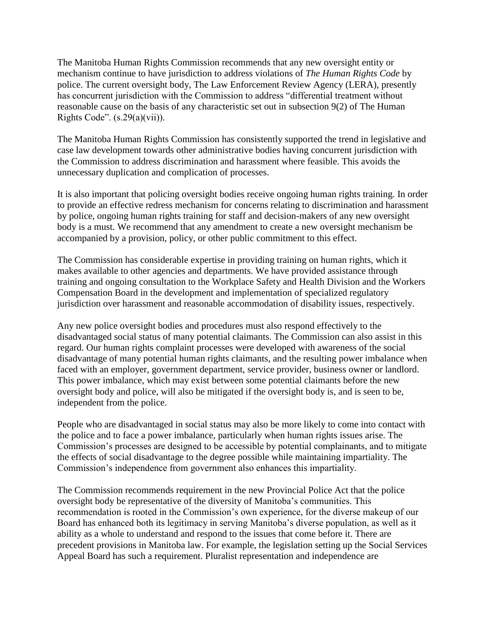The Manitoba Human Rights Commission recommends that any new oversight entity or mechanism continue to have jurisdiction to address violations of *The Human Rights Code* by police. The current oversight body, The Law Enforcement Review Agency (LERA), presently has concurrent jurisdiction with the Commission to address "differential treatment without reasonable cause on the basis of any characteristic set out in subsection 9(2) of The Human Rights Code".  $(s.29(a)(vii))$ .

The Manitoba Human Rights Commission has consistently supported the trend in legislative and case law development towards other administrative bodies having concurrent jurisdiction with the Commission to address discrimination and harassment where feasible. This avoids the unnecessary duplication and complication of processes.

It is also important that policing oversight bodies receive ongoing human rights training. In order to provide an effective redress mechanism for concerns relating to discrimination and harassment by police, ongoing human rights training for staff and decision-makers of any new oversight body is a must. We recommend that any amendment to create a new oversight mechanism be accompanied by a provision, policy, or other public commitment to this effect.

The Commission has considerable expertise in providing training on human rights, which it makes available to other agencies and departments. We have provided assistance through training and ongoing consultation to the Workplace Safety and Health Division and the Workers Compensation Board in the development and implementation of specialized regulatory jurisdiction over harassment and reasonable accommodation of disability issues, respectively.

Any new police oversight bodies and procedures must also respond effectively to the disadvantaged social status of many potential claimants. The Commission can also assist in this regard. Our human rights complaint processes were developed with awareness of the social disadvantage of many potential human rights claimants, and the resulting power imbalance when faced with an employer, government department, service provider, business owner or landlord. This power imbalance, which may exist between some potential claimants before the new oversight body and police, will also be mitigated if the oversight body is, and is seen to be, independent from the police.

People who are disadvantaged in social status may also be more likely to come into contact with the police and to face a power imbalance, particularly when human rights issues arise. The Commission's processes are designed to be accessible by potential complainants, and to mitigate the effects of social disadvantage to the degree possible while maintaining impartiality. The Commission's independence from government also enhances this impartiality.

The Commission recommends requirement in the new Provincial Police Act that the police oversight body be representative of the diversity of Manitoba's communities. This recommendation is rooted in the Commission's own experience, for the diverse makeup of our Board has enhanced both its legitimacy in serving Manitoba's diverse population, as well as it ability as a whole to understand and respond to the issues that come before it. There are precedent provisions in Manitoba law. For example, the legislation setting up the Social Services Appeal Board has such a requirement. Pluralist representation and independence are